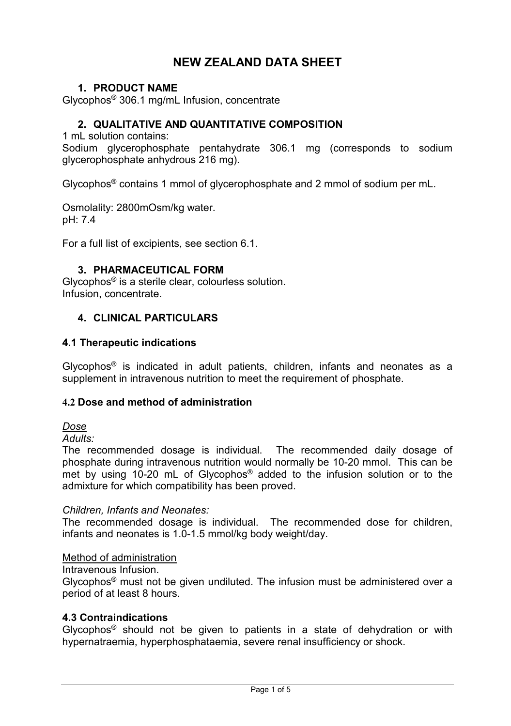# **NEW ZEALAND DATA SHEET**

## **1. PRODUCT NAME**

Glycophos® 306.1 mg/mL Infusion, concentrate

## **2. QUALITATIVE AND QUANTITATIVE COMPOSITION**

1 mL solution contains:

Sodium glycerophosphate pentahydrate 306.1 mg (corresponds to sodium glycerophosphate anhydrous 216 mg).

Glycophos® contains 1 mmol of glycerophosphate and 2 mmol of sodium per mL.

Osmolality: 2800mOsm/kg water. pH: 7.4

For a full list of excipients, see section 6.1.

## **3. PHARMACEUTICAL FORM**

Glycophos® is a sterile clear, colourless solution. Infusion, concentrate.

## **4. CLINICAL PARTICULARS**

### **4.1 Therapeutic indications**

Glycophos<sup>®</sup> is indicated in adult patients, children, infants and neonates as a supplement in intravenous nutrition to meet the requirement of phosphate.

#### **4.2 Dose and method of administration**

## *Dose*

*Adults:*

The recommended dosage is individual. The recommended daily dosage of phosphate during intravenous nutrition would normally be 10-20 mmol. This can be met by using 10-20 mL of Glycophos® added to the infusion solution or to the admixture for which compatibility has been proved.

#### *Children, Infants and Neonates:*

The recommended dosage is individual. The recommended dose for children, infants and neonates is 1.0-1.5 mmol/kg body weight/day.

#### Method of administration

Intravenous Infusion.

Glycophos® must not be given undiluted. The infusion must be administered over a period of at least 8 hours.

#### **4.3 Contraindications**

Glycophos® should not be given to patients in a state of dehydration or with hypernatraemia, hyperphosphataemia, severe renal insufficiency or shock.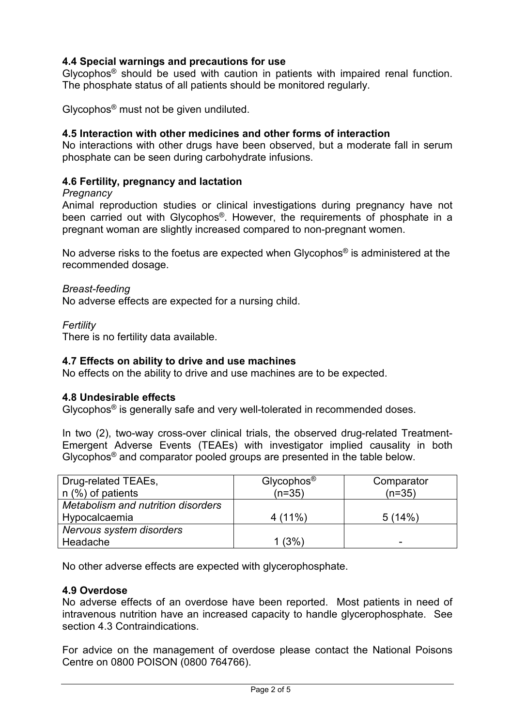## **4.4 Special warnings and precautions for use**

Glycophos® should be used with caution in patients with impaired renal function. The phosphate status of all patients should be monitored regularly.

Glycophos® must not be given undiluted.

## **4.5 Interaction with other medicines and other forms of interaction**

No interactions with other drugs have been observed, but a moderate fall in serum phosphate can be seen during carbohydrate infusions.

### **4.6 Fertility, pregnancy and lactation**

#### *Pregnancy*

Animal reproduction studies or clinical investigations during pregnancy have not been carried out with Glycophos<sup>®</sup>. However, the requirements of phosphate in a pregnant woman are slightly increased compared to non-pregnant women.

No adverse risks to the foetus are expected when Glycophos® is administered at the recommended dosage.

*Breast-feeding*

No adverse effects are expected for a nursing child.

*Fertility*

There is no fertility data available.

#### **4.7 Effects on ability to drive and use machines**

No effects on the ability to drive and use machines are to be expected.

#### **4.8 Undesirable effects**

Glycophos® is generally safe and very well-tolerated in recommended doses.

In two (2), two-way cross-over clinical trials, the observed drug-related Treatment-Emergent Adverse Events (TEAEs) with investigator implied causality in both Glycophos® and comparator pooled groups are presented in the table below.

| Drug-related TEAEs,                | Glycophos <sup>®</sup> | Comparator |
|------------------------------------|------------------------|------------|
| $n$ (%) of patients                | $(n=35)$               | $(n=35)$   |
| Metabolism and nutrition disorders |                        |            |
| Hypocalcaemia                      | $4(11\%)$              | 5(14%)     |
| Nervous system disorders           |                        |            |
| Headache                           | 1(3%)                  | -          |

No other adverse effects are expected with glycerophosphate.

#### **4.9 Overdose**

No adverse effects of an overdose have been reported. Most patients in need of intravenous nutrition have an increased capacity to handle glycerophosphate. See section 4.3 Contraindications.

For advice on the management of overdose please contact the National Poisons Centre on 0800 POISON (0800 764766).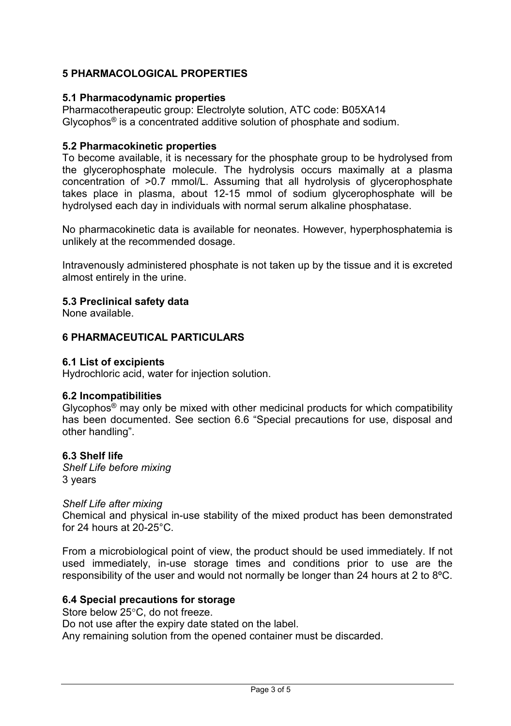## **5 PHARMACOLOGICAL PROPERTIES**

## **5.1 Pharmacodynamic properties**

Pharmacotherapeutic group: Electrolyte solution, ATC code: B05XA14 Glycophos® is a concentrated additive solution of phosphate and sodium.

## **5.2 Pharmacokinetic properties**

To become available, it is necessary for the phosphate group to be hydrolysed from the glycerophosphate molecule. The hydrolysis occurs maximally at a plasma concentration of >0.7 mmol/L. Assuming that all hydrolysis of glycerophosphate takes place in plasma, about 12-15 mmol of sodium glycerophosphate will be hydrolysed each day in individuals with normal serum alkaline phosphatase.

No pharmacokinetic data is available for neonates. However, hyperphosphatemia is unlikely at the recommended dosage.

Intravenously administered phosphate is not taken up by the tissue and it is excreted almost entirely in the urine.

## **5.3 Preclinical safety data**

None available.

## **6 PHARMACEUTICAL PARTICULARS**

### **6.1 List of excipients**

Hydrochloric acid, water for injection solution.

#### **6.2 Incompatibilities**

Glycophos® may only be mixed with other medicinal products for which compatibility has been documented. See section 6.6 "Special precautions for use, disposal and other handling".

#### **6.3 Shelf life**

*Shelf Life before mixing* 3 years

#### *Shelf Life after mixing*

Chemical and physical in-use stability of the mixed product has been demonstrated for 24 hours at 20-25°C.

From a microbiological point of view, the product should be used immediately. If not used immediately, in-use storage times and conditions prior to use are the responsibility of the user and would not normally be longer than 24 hours at 2 to 8ºC.

#### **6.4 Special precautions for storage**

Store below 25°C, do not freeze.

Do not use after the expiry date stated on the label.

Any remaining solution from the opened container must be discarded.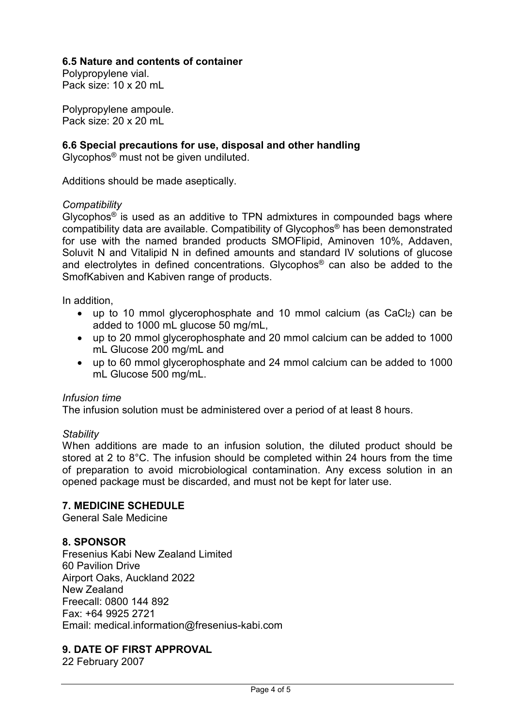## **6.5 Nature and contents of container**

Polypropylene vial. Pack size: 10 x 20 mL

Polypropylene ampoule. Pack size: 20 x 20 mL

## **6.6 Special precautions for use, disposal and other handling**

Glycophos® must not be given undiluted.

Additions should be made aseptically.

### *Compatibility*

Glycophos<sup>®</sup> is used as an additive to TPN admixtures in compounded bags where compatibility data are available. Compatibility of Glycophos® has been demonstrated for use with the named branded products SMOFlipid, Aminoven 10%, Addaven, Soluvit N and Vitalipid N in defined amounts and standard IV solutions of glucose and electrolytes in defined concentrations. Glycophos® can also be added to the SmofKabiven and Kabiven range of products.

In addition,

- up to 10 mmol glycerophosphate and 10 mmol calcium (as  $CaCl<sub>2</sub>$ ) can be added to 1000 mL glucose 50 mg/mL,
- up to 20 mmol glycerophosphate and 20 mmol calcium can be added to 1000 mL Glucose 200 mg/mL and
- up to 60 mmol glycerophosphate and 24 mmol calcium can be added to 1000 mL Glucose 500 mg/mL.

#### *Infusion time*

The infusion solution must be administered over a period of at least 8 hours.

## *Stability*

When additions are made to an infusion solution, the diluted product should be stored at 2 to 8°C. The infusion should be completed within 24 hours from the time of preparation to avoid microbiological contamination. Any excess solution in an opened package must be discarded, and must not be kept for later use.

## **7. MEDICINE SCHEDULE**

General Sale Medicine

## **8. SPONSOR**

Fresenius Kabi New Zealand Limited 60 Pavilion Drive Airport Oaks, Auckland 2022 New Zealand Freecall: 0800 144 892 Fax: +64 9925 2721 Email: medical.information@fresenius-kabi.com

## **9. DATE OF FIRST APPROVAL**

22 February 2007